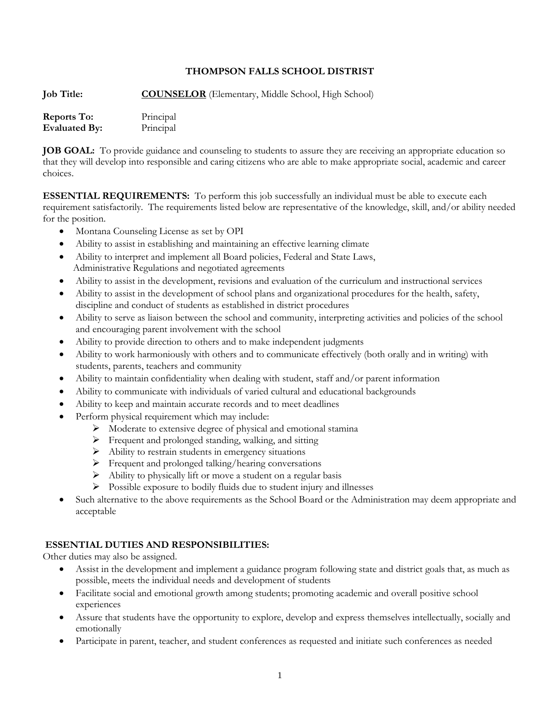### **THOMPSON FALLS SCHOOL DISTRIST**

**Job Title: COUNSELOR** (Elementary, Middle School, High School)

| <b>Reports To:</b>   | Principal |
|----------------------|-----------|
| <b>Evaluated By:</b> | Principal |

**JOB GOAL:** To provide guidance and counseling to students to assure they are receiving an appropriate education so that they will develop into responsible and caring citizens who are able to make appropriate social, academic and career choices.

**ESSENTIAL REQUIREMENTS:** To perform this job successfully an individual must be able to execute each requirement satisfactorily. The requirements listed below are representative of the knowledge, skill, and/or ability needed for the position.

- Montana Counseling License as set by OPI
- Ability to assist in establishing and maintaining an effective learning climate
- Ability to interpret and implement all Board policies, Federal and State Laws, Administrative Regulations and negotiated agreements
- Ability to assist in the development, revisions and evaluation of the curriculum and instructional services
- Ability to assist in the development of school plans and organizational procedures for the health, safety, discipline and conduct of students as established in district procedures
- Ability to serve as liaison between the school and community, interpreting activities and policies of the school and encouraging parent involvement with the school
- Ability to provide direction to others and to make independent judgments
- Ability to work harmoniously with others and to communicate effectively (both orally and in writing) with students, parents, teachers and community
- Ability to maintain confidentiality when dealing with student, staff and/or parent information
- Ability to communicate with individuals of varied cultural and educational backgrounds
- Ability to keep and maintain accurate records and to meet deadlines
- Perform physical requirement which may include:
	- $\triangleright$  Moderate to extensive degree of physical and emotional stamina
	- $\triangleright$  Frequent and prolonged standing, walking, and sitting
	- $\triangleright$  Ability to restrain students in emergency situations
	- Frequent and prolonged talking/hearing conversations
	- $\triangleright$  Ability to physically lift or move a student on a regular basis
	- $\triangleright$  Possible exposure to bodily fluids due to student injury and illnesses
- Such alternative to the above requirements as the School Board or the Administration may deem appropriate and acceptable

### **ESSENTIAL DUTIES AND RESPONSIBILITIES:**

Other duties may also be assigned.

- Assist in the development and implement a guidance program following state and district goals that, as much as possible, meets the individual needs and development of students
- Facilitate social and emotional growth among students; promoting academic and overall positive school experiences
- Assure that students have the opportunity to explore, develop and express themselves intellectually, socially and emotionally
- Participate in parent, teacher, and student conferences as requested and initiate such conferences as needed